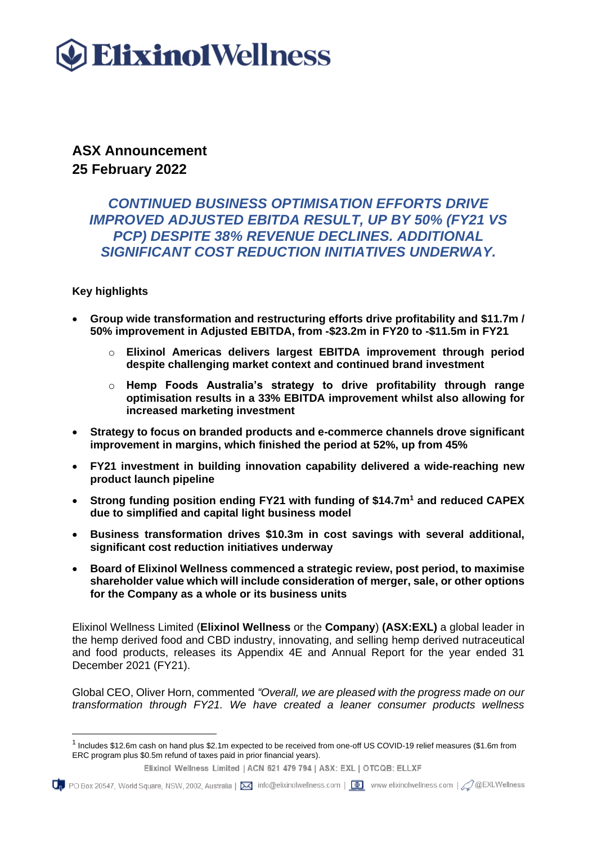# **Elixino1Wellness**

**ASX Announcement 25 February 2022**

# *CONTINUED BUSINESS OPTIMISATION EFFORTS DRIVE IMPROVED ADJUSTED EBITDA RESULT, UP BY 50% (FY21 VS PCP) DESPITE 38% REVENUE DECLINES. ADDITIONAL SIGNIFICANT COST REDUCTION INITIATIVES UNDERWAY.*

# **Key highlights**

- **Group wide transformation and restructuring efforts drive profitability and \$11.7m / 50% improvement in Adjusted EBITDA, from -\$23.2m in FY20 to -\$11.5m in FY21**
	- o **Elixinol Americas delivers largest EBITDA improvement through period despite challenging market context and continued brand investment**
	- o **Hemp Foods Australia's strategy to drive profitability through range optimisation results in a 33% EBITDA improvement whilst also allowing for increased marketing investment**
- **Strategy to focus on branded products and e-commerce channels drove significant improvement in margins, which finished the period at 52%, up from 45%**
- **FY21 investment in building innovation capability delivered a wide-reaching new product launch pipeline**
- **Strong funding position ending FY21 with funding of \$14.7m<sup>1</sup> and reduced CAPEX due to simplified and capital light business model**
- **Business transformation drives \$10.3m in cost savings with several additional, significant cost reduction initiatives underway**
- **Board of Elixinol Wellness commenced a strategic review, post period, to maximise shareholder value which will include consideration of merger, sale, or other options for the Company as a whole or its business units**

Elixinol Wellness Limited (**Elixinol Wellness** or the **Company**) **(ASX:EXL)** a global leader in the hemp derived food and CBD industry, innovating, and selling hemp derived nutraceutical and food products, releases its Appendix 4E and Annual Report for the year ended 31 December 2021 (FY21).

Global CEO, Oliver Horn, commented *"Overall, we are pleased with the progress made on our transformation through FY21. We have created a leaner consumer products wellness* 

Up PO Box 20547, World Square, NSW, 2002, Australia | ⊠ info@elixinolwellness.com | ■ www.elixinolwellness.com | 2 @EXLWellness

<sup>&</sup>lt;sup>1</sup> Includes \$12.6m cash on hand plus \$2.1m expected to be received from one-off US COVID-19 relief measures (\$1.6m from ERC program plus \$0.5m refund of taxes paid in prior financial years).

Elixinol Wellness Limited | ACN 621 479 794 | ASX: EXL | OTCQB: ELLXF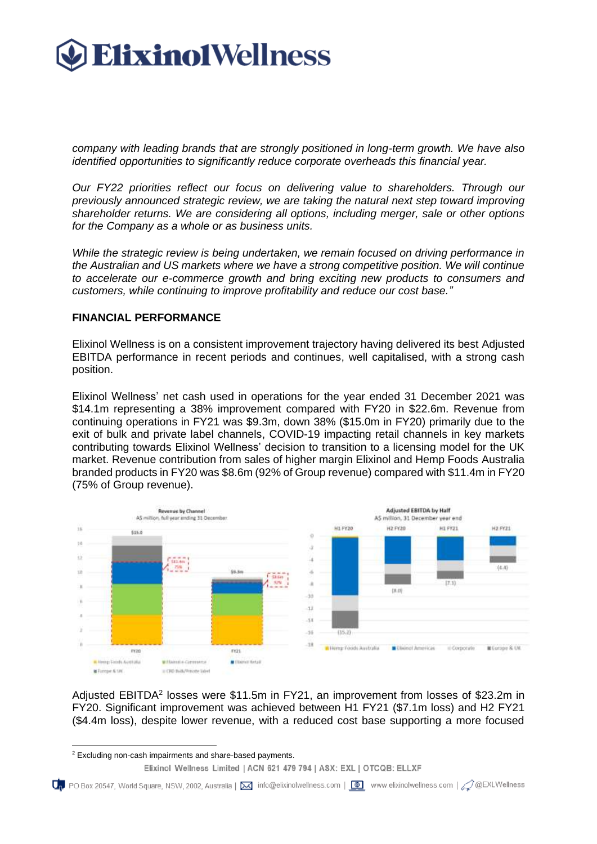

*company with leading brands that are strongly positioned in long-term growth. We have also identified opportunities to significantly reduce corporate overheads this financial year.*

*Our FY22 priorities reflect our focus on delivering value to shareholders. Through our previously announced strategic review, we are taking the natural next step toward improving shareholder returns. We are considering all options, including merger, sale or other options for the Company as a whole or as business units.* 

*While the strategic review is being undertaken, we remain focused on driving performance in the Australian and US markets where we have a strong competitive position. We will continue to accelerate our e-commerce growth and bring exciting new products to consumers and customers, while continuing to improve profitability and reduce our cost base."*

#### **FINANCIAL PERFORMANCE**

Elixinol Wellness is on a consistent improvement trajectory having delivered its best Adjusted EBITDA performance in recent periods and continues, well capitalised, with a strong cash position.

Elixinol Wellness' net cash used in operations for the year ended 31 December 2021 was \$14.1m representing a 38% improvement compared with FY20 in \$22.6m. Revenue from continuing operations in FY21 was \$9.3m, down 38% (\$15.0m in FY20) primarily due to the exit of bulk and private label channels, COVID-19 impacting retail channels in key markets contributing towards Elixinol Wellness' decision to transition to a licensing model for the UK market. Revenue contribution from sales of higher margin Elixinol and Hemp Foods Australia branded products in FY20 was \$8.6m (92% of Group revenue) compared with \$11.4m in FY20 (75% of Group revenue).



Adjusted EBITDA<sup>2</sup> losses were \$11.5m in FY21, an improvement from losses of \$23.2m in FY20. Significant improvement was achieved between H1 FY21 (\$7.1m loss) and H2 FY21 (\$4.4m loss), despite lower revenue, with a reduced cost base supporting a more focused

<sup>2</sup> Excluding non-cash impairments and share-based payments.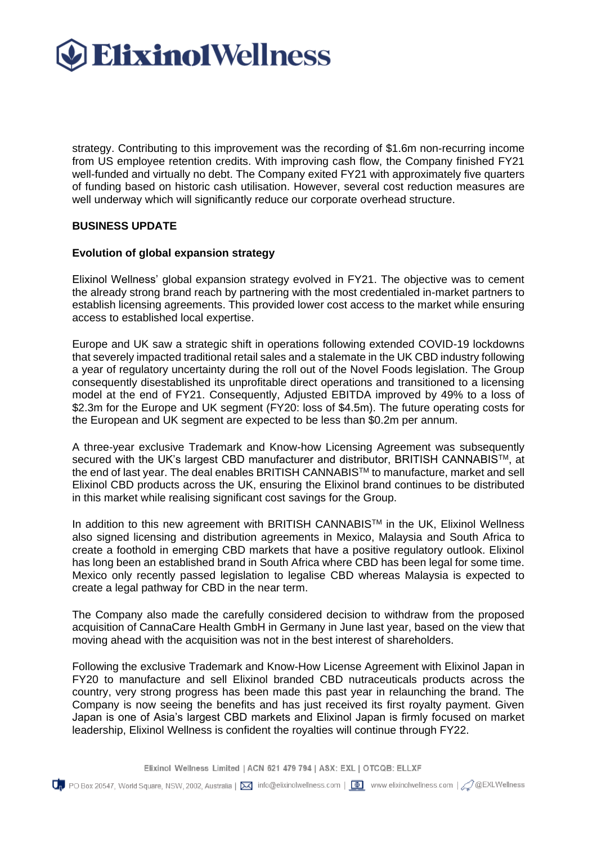

strategy. Contributing to this improvement was the recording of \$1.6m non-recurring income from US employee retention credits. With improving cash flow, the Company finished FY21 well-funded and virtually no debt. The Company exited FY21 with approximately five quarters of funding based on historic cash utilisation. However, several cost reduction measures are well underway which will significantly reduce our corporate overhead structure.

#### **BUSINESS UPDATE**

#### **Evolution of global expansion strategy**

Elixinol Wellness' global expansion strategy evolved in FY21. The objective was to cement the already strong brand reach by partnering with the most credentialed in-market partners to establish licensing agreements. This provided lower cost access to the market while ensuring access to established local expertise.

Europe and UK saw a strategic shift in operations following extended COVID-19 lockdowns that severely impacted traditional retail sales and a stalemate in the UK CBD industry following a year of regulatory uncertainty during the roll out of the Novel Foods legislation. The Group consequently disestablished its unprofitable direct operations and transitioned to a licensing model at the end of FY21. Consequently, Adjusted EBITDA improved by 49% to a loss of \$2.3m for the Europe and UK segment (FY20: loss of \$4.5m). The future operating costs for the European and UK segment are expected to be less than \$0.2m per annum.

A three-year exclusive Trademark and Know-how Licensing Agreement was subsequently secured with the UK's largest CBD manufacturer and distributor, BRITISH CANNABIS™, at the end of last year. The deal enables BRITISH CANNABISTM to manufacture, market and sell Elixinol CBD products across the UK, ensuring the Elixinol brand continues to be distributed in this market while realising significant cost savings for the Group.

In addition to this new agreement with BRITISH CANNABIS™ in the UK, Elixinol Wellness also signed licensing and distribution agreements in Mexico, Malaysia and South Africa to create a foothold in emerging CBD markets that have a positive regulatory outlook. Elixinol has long been an established brand in South Africa where CBD has been legal for some time. Mexico only recently passed legislation to legalise CBD whereas Malaysia is expected to create a legal pathway for CBD in the near term.

The Company also made the carefully considered decision to withdraw from the proposed acquisition of CannaCare Health GmbH in Germany in June last year, based on the view that moving ahead with the acquisition was not in the best interest of shareholders.

Following the exclusive Trademark and Know-How License Agreement with Elixinol Japan in FY20 to manufacture and sell Elixinol branded CBD nutraceuticals products across the country, very strong progress has been made this past year in relaunching the brand. The Company is now seeing the benefits and has just received its first royalty payment. Given Japan is one of Asia's largest CBD markets and Elixinol Japan is firmly focused on market leadership, Elixinol Wellness is confident the royalties will continue through FY22.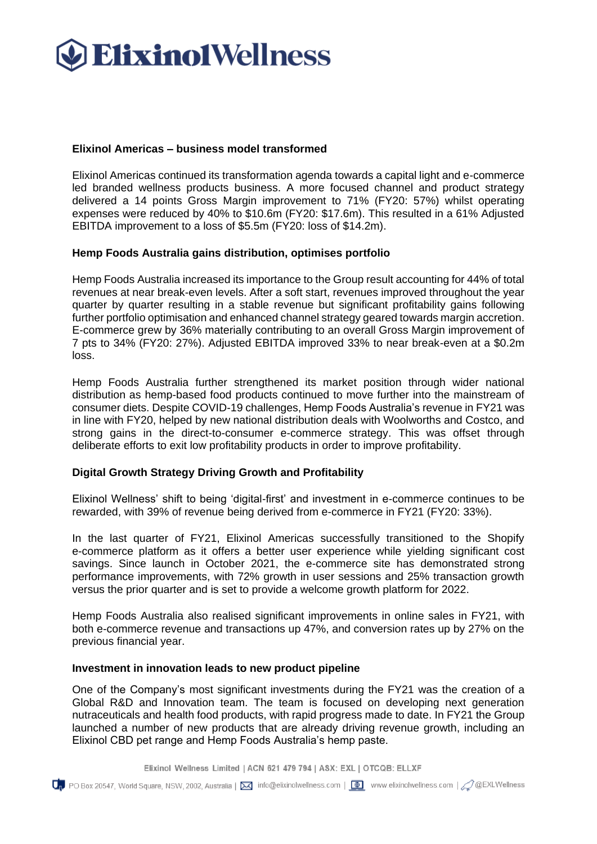

# **Elixinol Americas – business model transformed**

Elixinol Americas continued its transformation agenda towards a capital light and e-commerce led branded wellness products business. A more focused channel and product strategy delivered a 14 points Gross Margin improvement to 71% (FY20: 57%) whilst operating expenses were reduced by 40% to \$10.6m (FY20: \$17.6m). This resulted in a 61% Adjusted EBITDA improvement to a loss of \$5.5m (FY20: loss of \$14.2m).

#### **Hemp Foods Australia gains distribution, optimises portfolio**

Hemp Foods Australia increased its importance to the Group result accounting for 44% of total revenues at near break-even levels. After a soft start, revenues improved throughout the year quarter by quarter resulting in a stable revenue but significant profitability gains following further portfolio optimisation and enhanced channel strategy geared towards margin accretion. E-commerce grew by 36% materially contributing to an overall Gross Margin improvement of 7 pts to 34% (FY20: 27%). Adjusted EBITDA improved 33% to near break-even at a \$0.2m loss.

Hemp Foods Australia further strengthened its market position through wider national distribution as hemp-based food products continued to move further into the mainstream of consumer diets. Despite COVID-19 challenges, Hemp Foods Australia's revenue in FY21 was in line with FY20, helped by new national distribution deals with Woolworths and Costco, and strong gains in the direct-to-consumer e-commerce strategy. This was offset through deliberate efforts to exit low profitability products in order to improve profitability.

# **Digital Growth Strategy Driving Growth and Profitability**

Elixinol Wellness' shift to being 'digital-first' and investment in e-commerce continues to be rewarded, with 39% of revenue being derived from e-commerce in FY21 (FY20: 33%).

In the last quarter of FY21, Elixinol Americas successfully transitioned to the Shopify e-commerce platform as it offers a better user experience while yielding significant cost savings. Since launch in October 2021, the e-commerce site has demonstrated strong performance improvements, with 72% growth in user sessions and 25% transaction growth versus the prior quarter and is set to provide a welcome growth platform for 2022.

Hemp Foods Australia also realised significant improvements in online sales in FY21, with both e-commerce revenue and transactions up 47%, and conversion rates up by 27% on the previous financial year.

#### **Investment in innovation leads to new product pipeline**

One of the Company's most significant investments during the FY21 was the creation of a Global R&D and Innovation team. The team is focused on developing next generation nutraceuticals and health food products, with rapid progress made to date. In FY21 the Group launched a number of new products that are already driving revenue growth, including an Elixinol CBD pet range and Hemp Foods Australia's hemp paste.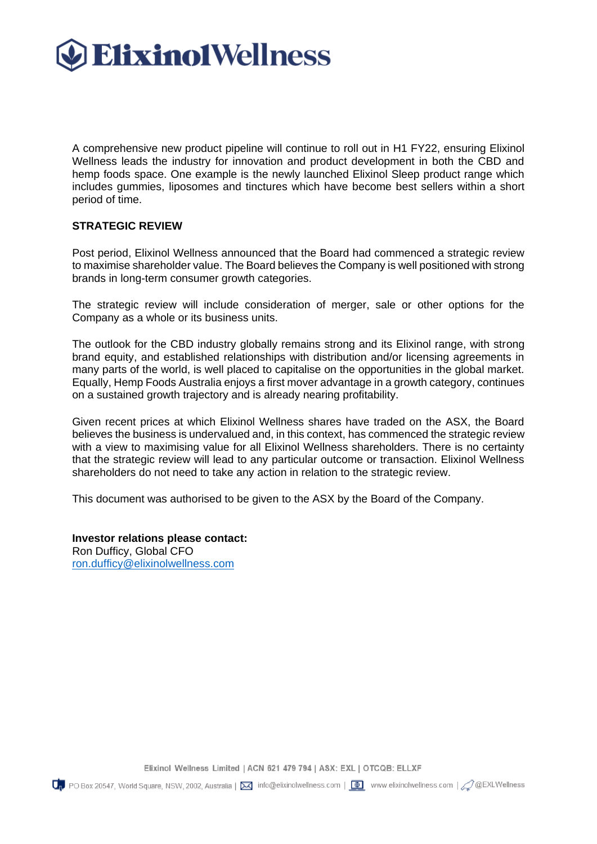

A comprehensive new product pipeline will continue to roll out in H1 FY22, ensuring Elixinol Wellness leads the industry for innovation and product development in both the CBD and hemp foods space. One example is the newly launched Elixinol Sleep product range which includes gummies, liposomes and tinctures which have become best sellers within a short period of time.

### **STRATEGIC REVIEW**

Post period, Elixinol Wellness announced that the Board had commenced a strategic review to maximise shareholder value. The Board believes the Company is well positioned with strong brands in long-term consumer growth categories.

The strategic review will include consideration of merger, sale or other options for the Company as a whole or its business units.

The outlook for the CBD industry globally remains strong and its Elixinol range, with strong brand equity, and established relationships with distribution and/or licensing agreements in many parts of the world, is well placed to capitalise on the opportunities in the global market. Equally, Hemp Foods Australia enjoys a first mover advantage in a growth category, continues on a sustained growth trajectory and is already nearing profitability.

Given recent prices at which Elixinol Wellness shares have traded on the ASX, the Board believes the business is undervalued and, in this context, has commenced the strategic review with a view to maximising value for all Elixinol Wellness shareholders. There is no certainty that the strategic review will lead to any particular outcome or transaction. Elixinol Wellness shareholders do not need to take any action in relation to the strategic review.

This document was authorised to be given to the ASX by the Board of the Company.

**Investor relations please contact:** Ron Dufficy, Global CFO [ron.dufficy@elixinolwellness.com](mailto:ron.dufficy@elixinolwellness.com)

Elixinol Wellness Limited | ACN 621 479 794 | ASX: EXL | OTCQB: ELLXF

 $Q_{\rm p}$  PO Box 20547, World Square, NSW, 2002, Australia |  $\boxtimes$  info@elixinolwellness.com | @ www.elixinolwellness.com |  $\oslash$  @EXLWellness